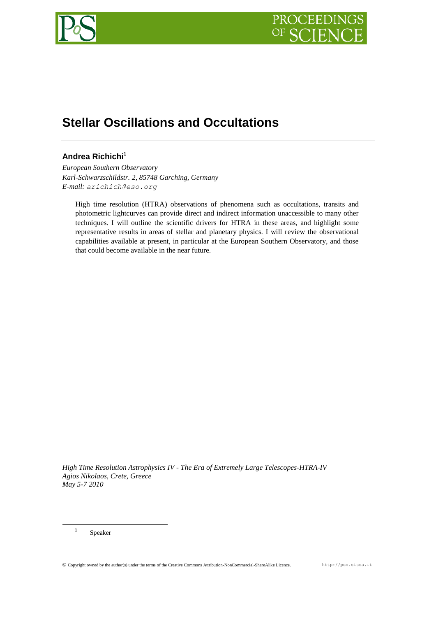

# **Stellar Oscillations and Occultations**

# **Andrea Richichi<sup>1</sup>**

*European Southern Observatory Karl-Schwarzschildstr. 2, 85748 Garching, Germany E-mail: arichich@eso.org*

High time resolution (HTRA) observations of phenomena such as occultations, transits and photometric lightcurves can provide direct and indirect information unaccessible to many other techniques. I will outline the scientific drivers for HTRA in these areas, and highlight some representative results in areas of stellar and planetary physics. I will review the observational capabilities available at present, in particular at the European Southern Observatory, and those that could become available in the near future.

*High Time Resolution Astrophysics IV - The Era of Extremely Large Telescopes-HTRA-IV Agios Nikolaos, Crete, Greece May 5-7 2010*

1 Speaker

1

Copyright owned by the author(s) under the terms of the Creative Commons Attribution-NonCommercial-ShareAlike Licence. http://pos.sissa.it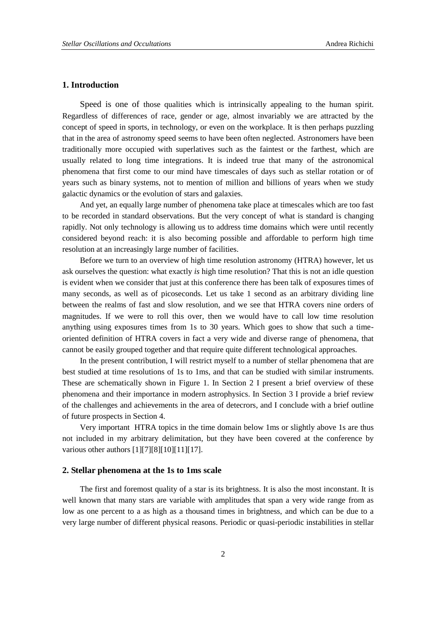# **1. Introduction**

Speed is one of those qualities which is intrinsically appealing to the human spirit. Regardless of differences of race, gender or age, almost invariably we are attracted by the concept of speed in sports, in technology, or even on the workplace. It is then perhaps puzzling that in the area of astronomy speed seems to have been often neglected. Astronomers have been traditionally more occupied with superlatives such as the faintest or the farthest, which are usually related to long time integrations. It is indeed true that many of the astronomical phenomena that first come to our mind have timescales of days such as stellar rotation or of years such as binary systems, not to mention of million and billions of years when we study galactic dynamics or the evolution of stars and galaxies.

And yet, an equally large number of phenomena take place at timescales which are too fast to be recorded in standard observations. But the very concept of what is standard is changing rapidly. Not only technology is allowing us to address time domains which were until recently considered beyond reach: it is also becoming possible and affordable to perform high time resolution at an increasingly large number of facilities.

Before we turn to an overview of high time resolution astronomy (HTRA) however, let us ask ourselves the question: what exactly *is* high time resolution? That this is not an idle question is evident when we consider that just at this conference there has been talk of exposures times of many seconds, as well as of picoseconds. Let us take 1 second as an arbitrary dividing line between the realms of fast and slow resolution, and we see that HTRA covers nine orders of magnitudes. If we were to roll this over, then we would have to call low time resolution anything using exposures times from 1s to 30 years. Which goes to show that such a timeoriented definition of HTRA covers in fact a very wide and diverse range of phenomena, that cannot be easily grouped together and that require quite different technological approaches.

In the present contribution, I will restrict myself to a number of stellar phenomena that are best studied at time resolutions of 1s to 1ms, and that can be studied with similar instruments. These are schematically shown in [Figure 1.](#page-2-0) In Section [2](#page-1-0) I present a brief overview of these phenomena and their importance in modern astrophysics. In Section [3](#page-8-0) I provide a brief review of the challenges and achievements in the area of detecrors, and I conclude with a brief outline of future prospects in Section [4.](#page-9-0)

Very important HTRA topics in the time domain below 1ms or slightly above 1s are thus not included in my arbitrary delimitation, but they have been covered at the conference by various other authors [\[1\]\[7\]](#page-9-1)[\[8\]\[10\]](#page-10-0)[\[11\]\[17\].](#page-10-1)

#### <span id="page-1-0"></span>**2. Stellar phenomena at the 1s to 1ms scale**

The first and foremost quality of a star is its brightness. It is also the most inconstant. It is well known that many stars are variable with amplitudes that span a very wide range from as low as one percent to a as high as a thousand times in brightness, and which can be due to a very large number of different physical reasons. Periodic or quasi-periodic instabilities in stellar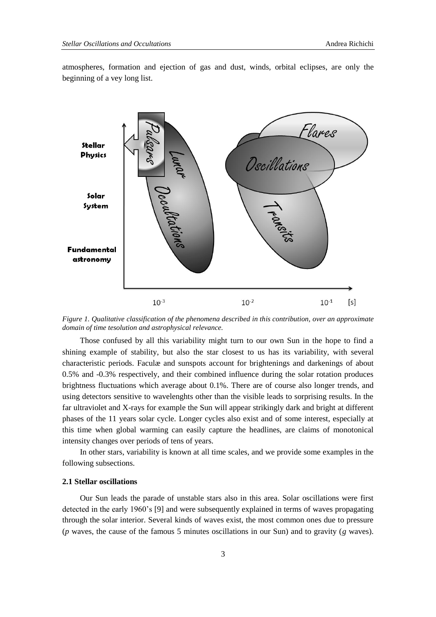Solar Sustem

**Fundamental** astronomy

 $10^{-1}$ 

 $[s]$ 



atmospheres, formation and ejection of gas and dust, winds, orbital eclipses, are only the beginning of a vey long list.

<span id="page-2-0"></span>*Figure 1. Qualitative classification of the phenomena described in this contribution, over an approximate domain of time tesolution and astrophysical relevance.*

 $10^{-2}$ 

 $10^{-3}$ 

Those confused by all this variability might turn to our own Sun in the hope to find a shining example of stability, but also the star closest to us has its variability, with several characteristic periods. Faculæ and sunspots account for brightenings and darkenings of about 0.5% and -0.3% respectively, and their combined influence during the solar rotation produces brightness fluctuations which average about 0.1%. There are of course also longer trends, and using detectors sensitive to wavelenghts other than the visible leads to sorprising results. In the far ultraviolet and X-rays for example the Sun will appear strikingly dark and bright at different phases of the 11 years solar cycle. Longer cycles also exist and of some interest, especially at this time when global warming can easily capture the headlines, are claims of monotonical intensity changes over periods of tens of years.

In other stars, variability is known at all time scales, and we provide some examples in the following subsections.

## **2.1 Stellar oscillations**

Our Sun leads the parade of unstable stars also in this area. Solar oscillations were first detected in the early 1960's [\[9\]](#page-10-2) and were subsequently explained in terms of waves propagating through the solar interior. Several kinds of waves exist, the most common ones due to pressure (*p* waves, the cause of the famous 5 minutes oscillations in our Sun) and to gravity (*g* waves).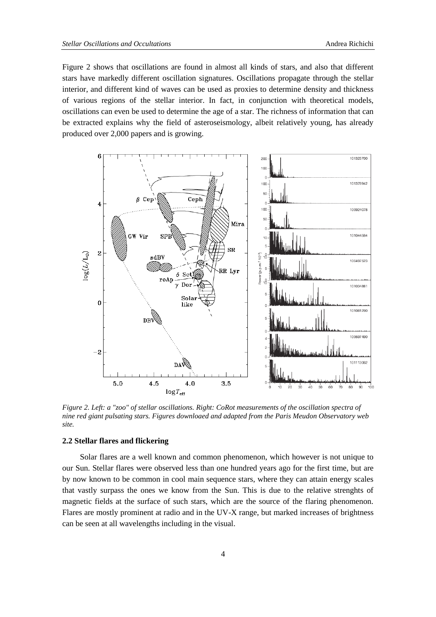[Figure 2](#page-3-0) shows that oscillations are found in almost all kinds of stars, and also that different stars have markedly different oscillation signatures. Oscillations propagate through the stellar interior, and different kind of waves can be used as proxies to determine density and thickness of various regions of the stellar interior. In fact, in conjunction with theoretical models, oscillations can even be used to determine the age of a star. The richness of information that can be extracted explains why the field of asteroseismology, albeit relatively young, has already produced over 2,000 papers and is growing.



<span id="page-3-0"></span>*Figure 2. Left: a "zoo" of stellar oscillations. Right: CoRot measurements of the oscillation spectra of nine red giant pulsating stars. Figures downloaed and adapted from the Paris Meudon Observatory web site.*

#### **2.2 Stellar flares and flickering**

Solar flares are a well known and common phenomenon, which however is not unique to our Sun. Stellar flares were observed less than one hundred years ago for the first time, but are by now known to be common in cool main sequence stars, where they can attain energy scales that vastly surpass the ones we know from the Sun. This is due to the relative strenghts of magnetic fields at the surface of such stars, which are the source of the flaring phenomenon. Flares are mostly prominent at radio and in the UV-X range, but marked increases of brightness can be seen at all wavelengths including in the visual.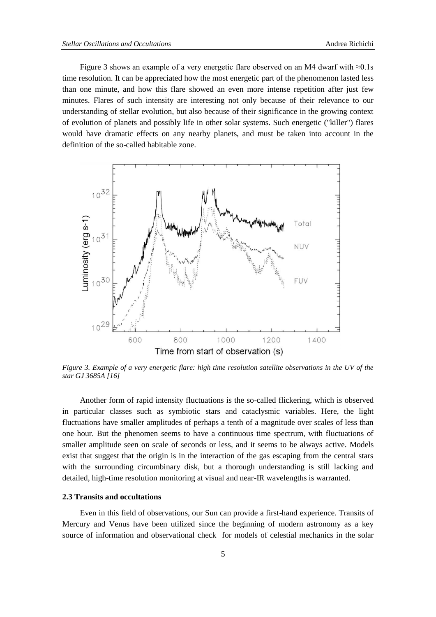[Figure 3](#page-4-0) shows an example of a very energetic flare observed on an M4 dwarf with  $\approx 0.1$ s time resolution. It can be appreciated how the most energetic part of the phenomenon lasted less than one minute, and how this flare showed an even more intense repetition after just few minutes. Flares of such intensity are interesting not only because of their relevance to our understanding of stellar evolution, but also because of their significance in the growing context of evolution of planets and possibly life in other solar systems. Such energetic ("killer") flares would have dramatic effects on any nearby planets, and must be taken into account in the definition of the so-called habitable zone.



<span id="page-4-0"></span>*Figure 3. Example of a very energetic flare: high time resolution satellite observations in the UV of the star GJ 3685A [\[16\]](#page-10-3)*

Another form of rapid intensity fluctuations is the so-called flickering, which is observed in particular classes such as symbiotic stars and cataclysmic variables. Here, the light fluctuations have smaller amplitudes of perhaps a tenth of a magnitude over scales of less than one hour. But the phenomen seems to have a continuous time spectrum, with fluctuations of smaller amplitude seen on scale of seconds or less, and it seems to be always active. Models exist that suggest that the origin is in the interaction of the gas escaping from the central stars with the surrounding circumbinary disk, but a thorough understanding is still lacking and detailed, high-time resolution monitoring at visual and near-IR wavelengths is warranted.

# **2.3 Transits and occultations**

Even in this field of observations, our Sun can provide a first-hand experience. Transits of Mercury and Venus have been utilized since the beginning of modern astronomy as a key source of information and observational check for models of celestial mechanics in the solar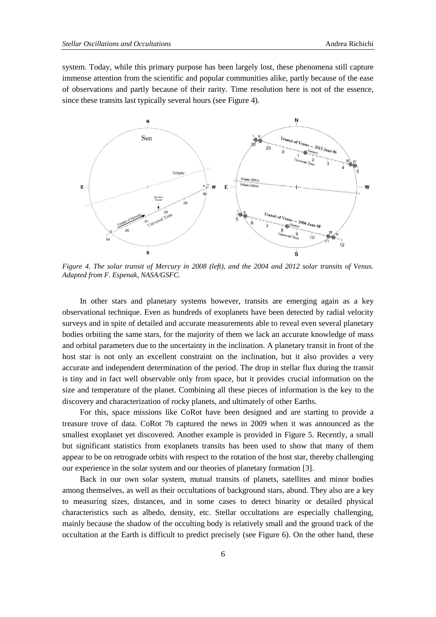system. Today, while this primary purpose has been largely lost, these phenomena still capture immense attention from the scientific and popular communities alike, partly because of the ease of observations and partly because of their rarity. Time resolution here is not of the essence, since these transits last typically several hours (see [Figure 4\)](#page-5-0).



<span id="page-5-0"></span>*Figure 4. The solar transit of Mercury in 2008 (left), and the 2004 and 2012 solar transits of Venus. Adapted from F. Espenak, NASA/GSFC.*

In other stars and planetary systems however, transits are emerging again as a key observational technique. Even as hundreds of exoplanets have been detected by radial velocity surveys and in spite of detailed and accurate measurements able to reveal even several planetary bodies orbiting the same stars, for the majority of them we lack an accurate knowledge of mass and orbital parameters due to the uncertainty in the inclination. A planetary transit in front of the host star is not only an excellent constraint on the inclination, but it also provides a very accurate and independent determination of the period. The drop in stellar flux during the transit is tiny and in fact well observable only from space, but it provides crucial information on the size and temperature of the planet. Combining all these pieces of information is the key to the discovery and characterization of rocky planets, and ultimately of other Earths.

For this, space missions like CoRot have been designed and are starting to provide a treasure trove of data. CoRot 7b captured the news in 2009 when it was announced as the smallest exoplanet yet discovered. Another example is provided in [Figure 5.](#page-6-0) Recently, a small but significant statistics from exoplanets transits has been used to show that many of them appear to be on retrograde orbits with respect to the rotation of the host star, thereby challenging our experience in the solar system and our theories of planetary formation [\[3\].](#page-9-2)

Back in our own solar system, mutual transits of planets, satellites and minor bodies among themselves, as well as their occultations of background stars, abund. They also are a key to measuring sizes, distances, and in some cases to detect binarity or detailed physical characteristics such as albedo, density, etc. Stellar occultations are especially challenging, mainly because the shadow of the occulting body is relatively small and the ground track of the occultation at the Earth is difficult to predict precisely (see [Figure 6\)](#page-6-1). On the other hand, these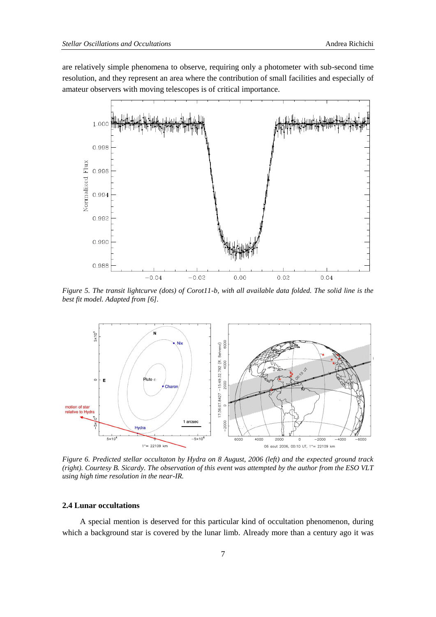are relatively simple phenomena to observe, requiring only a photometer with sub-second time resolution, and they represent an area where the contribution of small facilities and especially of amateur observers with moving telescopes is of critical importance.



<span id="page-6-0"></span>*Figure 5. The transit lightcurve (dots) of Corot11-b, with all available data folded. The solid line is the best fit model. Adapted from [\[6\].](#page-9-3)*



<span id="page-6-1"></span>*Figure 6. Predicted stellar occultaton by Hydra on 8 August, 2006 (left) and the expected ground track (right). Courtesy B. Sicardy. The observation of this event was attempted by the author from the ESO VLT using high time resolution in the near-IR.*

#### **2.4 Lunar occultations**

A special mention is deserved for this particular kind of occultation phenomenon, during which a background star is covered by the lunar limb. Already more than a century ago it was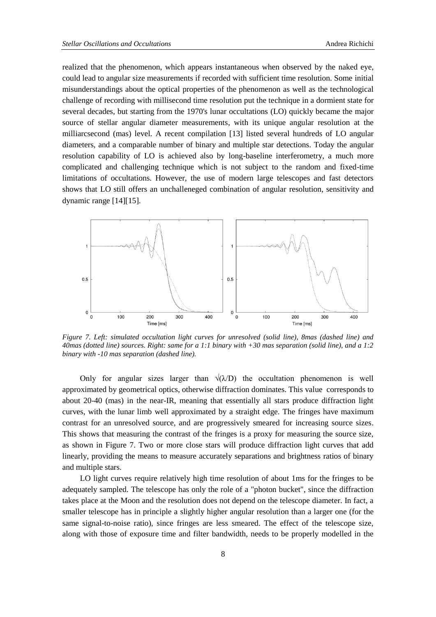realized that the phenomenon, which appears instantaneous when observed by the naked eye, could lead to angular size measurements if recorded with sufficient time resolution. Some initial misunderstandings about the optical properties of the phenomenon as well as the technological challenge of recording with millisecond time resolution put the technique in a dormient state for several decades, but starting from the 1970's lunar occultations (LO) quickly became the major source of stellar angular diameter measurements, with its unique angular resolution at the milliarcsecond (mas) level. A recent compilation [\[13\]](#page-10-4) listed several hundreds of LO angular diameters, and a comparable number of binary and multiple star detections. Today the angular resolution capability of LO is achieved also by long-baseline interferometry, a much more complicated and challenging technique which is not subject to the random and fixed-time limitations of occultations. However, the use of modern large telescopes and fast detectors shows that LO still offers an unchalleneged combination of angular resolution, sensitivity and dynamic range [\[14\]\[15\].](#page-10-5)



<span id="page-7-0"></span>*Figure 7. Left: simulated occultation light curves for unresolved (solid line), 8mas (dashed line) and 40mas (dotted line) sources. Right: same for a 1:1 binary with +30 mas separation (solid line), and a 1:2 binary with -10 mas separation (dashed line).*

Only for angular sizes larger than  $\sqrt{(\lambda/D)}$  the occultation phenomenon is well approximated by geometrical optics, otherwise diffraction dominates. This value corresponds to about 20-40 (mas) in the near-IR, meaning that essentially all stars produce diffraction light curves, with the lunar limb well approximated by a straight edge. The fringes have maximum contrast for an unresolved source, and are progressively smeared for increasing source sizes. This shows that measuring the contrast of the fringes is a proxy for measuring the source size, as shown in [Figure 7.](#page-7-0) Two or more close stars will produce diffraction light curves that add linearly, providing the means to measure accurately separations and brightness ratios of binary and multiple stars.

LO light curves require relatively high time resolution of about 1ms for the fringes to be adequately sampled. The telescope has only the role of a "photon bucket", since the diffraction takes place at the Moon and the resolution does not depend on the telescope diameter. In fact, a smaller telescope has in principle a slightly higher angular resolution than a larger one (for the same signal-to-noise ratio), since fringes are less smeared. The effect of the telescope size, along with those of exposure time and filter bandwidth, needs to be properly modelled in the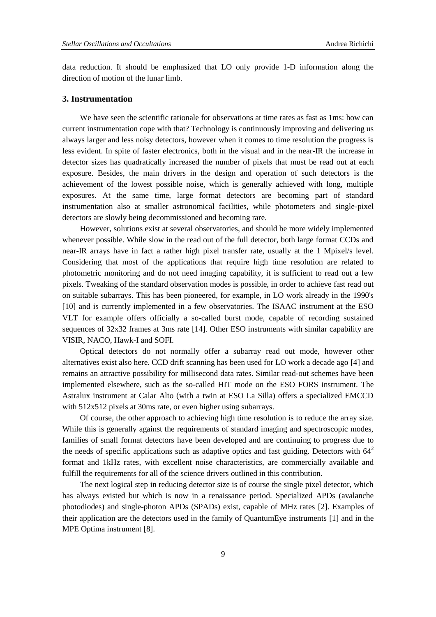data reduction. It should be emphasized that LO only provide 1-D information along the direction of motion of the lunar limb.

#### <span id="page-8-0"></span>**3. Instrumentation**

We have seen the scientific rationale for observations at time rates as fast as 1ms: how can current instrumentation cope with that? Technology is continuously improving and delivering us always larger and less noisy detectors, however when it comes to time resolution the progress is less evident. In spite of faster electronics, both in the visual and in the near-IR the increase in detector sizes has quadratically increased the number of pixels that must be read out at each exposure. Besides, the main drivers in the design and operation of such detectors is the achievement of the lowest possible noise, which is generally achieved with long, multiple exposures. At the same time, large format detectors are becoming part of standard instrumentation also at smaller astronomical facilities, while photometers and single-pixel detectors are slowly being decommissioned and becoming rare.

However, solutions exist at several observatories, and should be more widely implemented whenever possible. While slow in the read out of the full detector, both large format CCDs and near-IR arrays have in fact a rather high pixel transfer rate, usually at the 1 Mpixel/s level. Considering that most of the applications that require high time resolution are related to photometric monitoring and do not need imaging capability, it is sufficient to read out a few pixels. Tweaking of the standard observation modes is possible, in order to achieve fast read out on suitable subarrays. This has been pioneered, for example, in LO work already in the 1990's [\[10\]](#page-10-6) and is currently implemented in a few observatories. The ISAAC instrument at the ESO VLT for example offers officially a so-called burst mode, capable of recording sustained sequences of 32x32 frames at 3ms rate [\[14\].](#page-10-5) Other ESO instruments with similar capability are VISIR, NACO, Hawk-I and SOFI.

Optical detectors do not normally offer a subarray read out mode, however other alternatives exist also here. CCD drift scanning has been used for LO work a decade ago [\[4\]](#page-9-4) and remains an attractive possibility for millisecond data rates. Similar read-out schemes have been implemented elsewhere, such as the so-called HIT mode on the ESO FORS instrument. The Astralux instrument at Calar Alto (with a twin at ESO La Silla) offers a specialized EMCCD with 512x512 pixels at 30ms rate, or even higher using subarrays.

Of course, the other approach to achieving high time resolution is to reduce the array size. While this is generally against the requirements of standard imaging and spectroscopic modes, families of small format detectors have been developed and are continuing to progress due to the needs of specific applications such as adaptive optics and fast guiding. Detectors with  $64<sup>2</sup>$ format and 1kHz rates, with excellent noise characteristics, are commercially available and fulfill the requirements for all of the science drivers outlined in this contribution.

The next logical step in reducing detector size is of course the single pixel detector, which has always existed but which is now in a renaissance period. Specialized APDs (avalanche photodiodes) and single-photon APDs (SPADs) exist, capable of MHz rates [\[2\].](#page-9-5) Examples of their application are the detectors used in the family of QuantumEye instruments [\[1\]](#page-9-1) and in the MPE Optima instrument [\[8\].](#page-10-0)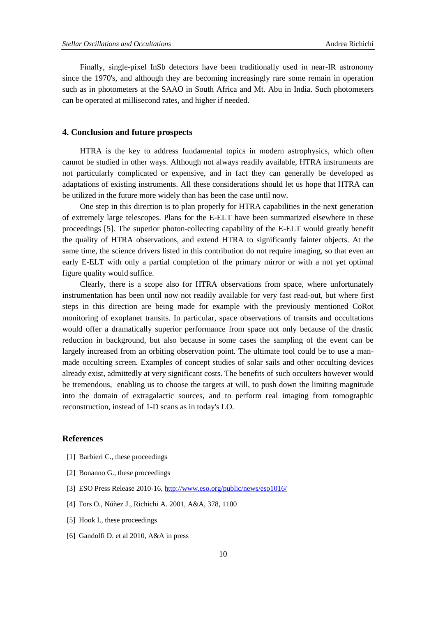Finally, single-pixel InSb detectors have been traditionally used in near-IR astronomy since the 1970's, and although they are becoming increasingly rare some remain in operation such as in photometers at the SAAO in South Africa and Mt. Abu in India. Such photometers can be operated at millisecond rates, and higher if needed.

# <span id="page-9-0"></span>**4. Conclusion and future prospects**

HTRA is the key to address fundamental topics in modern astrophysics, which often cannot be studied in other ways. Although not always readily available, HTRA instruments are not particularly complicated or expensive, and in fact they can generally be developed as adaptations of existing instruments. All these considerations should let us hope that HTRA can be utilized in the future more widely than has been the case until now.

One step in this direction is to plan properly for HTRA capabilities in the next generation of extremely large telescopes. Plans for the E-ELT have been summarized elsewhere in these proceedings [\[5\].](#page-9-6) The superior photon-collecting capability of the E-ELT would greatly benefit the quality of HTRA observations, and extend HTRA to significantly fainter objects. At the same time, the science drivers listed in this contribution do not require imaging, so that even an early E-ELT with only a partial completion of the primary mirror or with a not yet optimal figure quality would suffice.

Clearly, there is a scope also for HTRA observations from space, where unfortunately instrumentation has been until now not readily available for very fast read-out, but where first steps in this direction are being made for example with the previously mentioned CoRot monitoring of exoplanet transits. In particular, space observations of transits and occultations would offer a dramatically superior performance from space not only because of the drastic reduction in background, but also because in some cases the sampling of the event can be largely increased from an orbiting observation point. The ultimate tool could be to use a manmade occulting screen. Examples of concept studies of solar sails and other occulting devices already exist, admittedly at very significant costs. The benefits of such occulters however would be tremendous, enabling us to choose the targets at will, to push down the limiting magnitude into the domain of extragalactic sources, and to perform real imaging from tomographic reconstruction, instead of 1-D scans as in today's LO.

## **References**

- <span id="page-9-1"></span>[1] Barbieri C., these proceedings
- <span id="page-9-5"></span>[2] Bonanno G., these proceedings
- <span id="page-9-2"></span>[3] ESO Press Release 2010-16[, http://www.eso.org/public/news/eso1016/](http://www.eso.org/public/news/eso1016/)
- <span id="page-9-4"></span>[4] Fors O., Núñez J., Richichi A. 2001, A&A, 378, 1100
- <span id="page-9-6"></span>[5] Hook I., these proceedings
- <span id="page-9-3"></span>[6] Gandolfi D. et al 2010, A&A in press